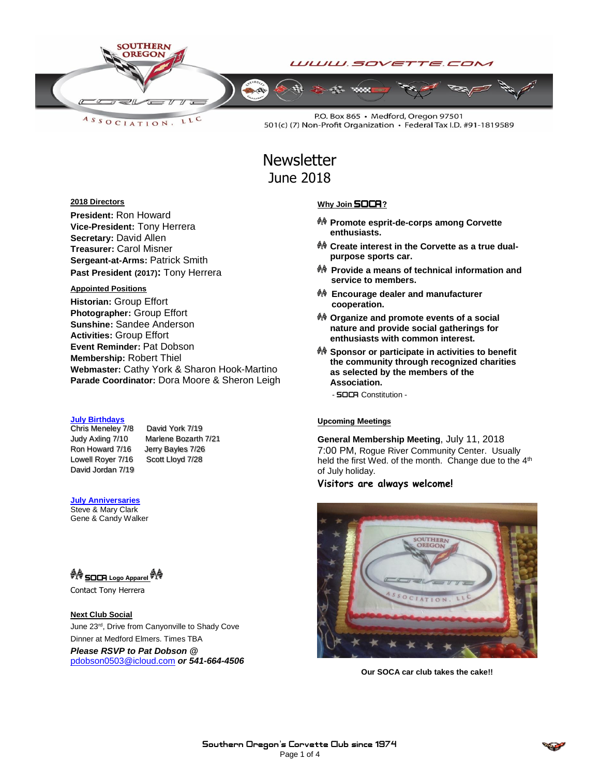

LLC ASSOCIATION.

P.O. Box 865 · Medford, Oregon 97501 501(c) (7) Non-Profit Organization · Federal Tax I.D. #91-1819589

# **Newsletter** June 2018

#### **2018 Directors**

**President:** Ron Howard **Vice-President:** Tony Herrera **Secretary:** David Allen **Treasurer:** Carol Misner **Sergeant-at-Arms:** Patrick Smith **Past President (2017):** Tony Herrera

#### **Appointed Positions**

**Historian:** Group Effort **Photographer:** Group Effort **Sunshine:** Sandee Anderson **Activities:** Group Effort **Event Reminder:** Pat Dobson **Membership:** Robert Thiel **Webmaster:** Cathy York & Sharon Hook-Martino **Parade Coordinator:** Dora Moore & Sheron Leigh

#### **July Birthdays**

Chris Meneley 7/8 David York 7/19 Ron Howard 7/16 Jerry Bayles 7/26 Lowell Royer 7/16 Scott Lloyd 7/28 David Jordan 7/19

Judy Axling 7/10 Marlene Bozarth 7/21

#### **July Anniversaries** Steve & Mary Clark

Gene & Candy Walker

SOCA **Logo Apparel** 

Contact Tony Herrera

#### **Next Club Social**

June 23rd, Drive from Canyonville to Shady Cove Dinner at Medford Elmers. Times TBA *Please RSVP to Pat Dobson @*  [pdobson0503@icloud.com](mailto:pdobson0503@icloud.com) *or 541-664-4506*

#### **Why Join** SOCA**?**

- **Promote esprit-de-corps among Corvette enthusiasts.**
- **Create interest in the Corvette as a true dualpurpose sports car.**
- **Provide a means of technical information and service to members.**
- **Encourage dealer and manufacturer cooperation.**
- **Organize and promote events of a social nature and provide social gatherings for enthusiasts with common interest.**
- **Sponsor or participate in activities to benefit the community through recognized charities as selected by the members of the Association.**
	- SOCA Constitution -

#### **Upcoming Meetings**

**General Membership Meeting**, July 11, 2018 7:00 PM, Rogue River Community Center. Usually held the first Wed. of the month. Change due to the 4<sup>th</sup> of July holiday.

### **Visitors are always welcome!**



**Our SOCA car club takes the cake!!**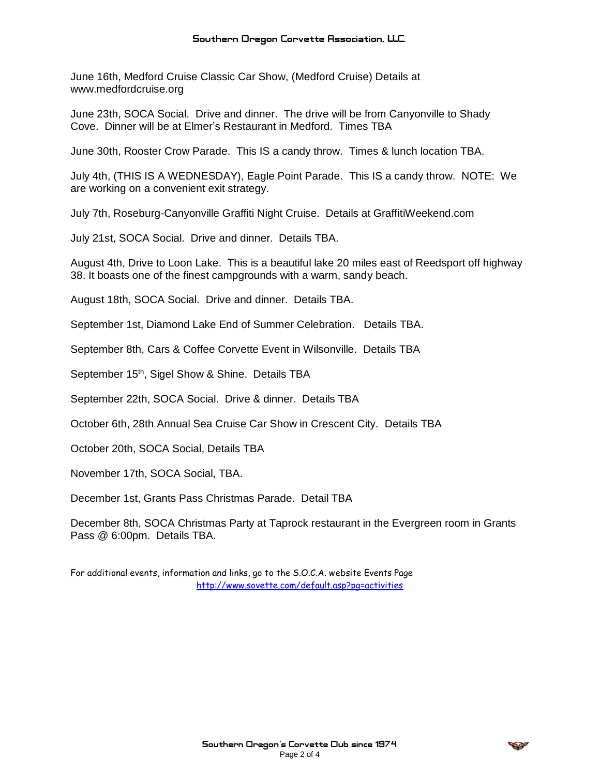June 16th, Medford Cruise Classic Car Show, (Medford Cruise) Details at www.medfordcruise.org

June 23th, SOCA Social. Drive and dinner. The drive will be from Canyonville to Shady Cove. Dinner will be at Elmer's Restaurant in Medford. Times TBA

June 30th, Rooster Crow Parade. This IS a candy throw. Times & lunch location TBA.

July 4th, (THIS IS A WEDNESDAY), Eagle Point Parade. This IS a candy throw. NOTE: We are working on a convenient exit strategy.

July 7th, Roseburg-Canyonville Graffiti Night Cruise. Details at GraffitiWeekend.com

July 21st, SOCA Social. Drive and dinner. Details TBA.

August 4th, Drive to Loon Lake. This is a beautiful lake 20 miles east of Reedsport off highway 38. It boasts one of the finest campgrounds with a warm, sandy beach.

August 18th, SOCA Social. Drive and dinner. Details TBA.

September 1st, Diamond Lake End of Summer Celebration. Details TBA.

September 8th, Cars & Coffee Corvette Event in Wilsonville. Details TBA

September 15<sup>th</sup>, Sigel Show & Shine. Details TBA

September 22th, SOCA Social. Drive & dinner. Details TBA

October 6th, 28th Annual Sea Cruise Car Show in Crescent City. Details TBA

October 20th, SOCA Social, Details TBA

November 17th, SOCA Social, TBA.

December 1st, Grants Pass Christmas Parade. Detail TBA

December 8th, SOCA Christmas Party at Taprock restaurant in the Evergreen room in Grants Pass @ 6:00pm. Details TBA.

For additional events, information and links, go to the S.O.C.A. website Events Page <http://www.sovette.com/default.asp?pg=activities>

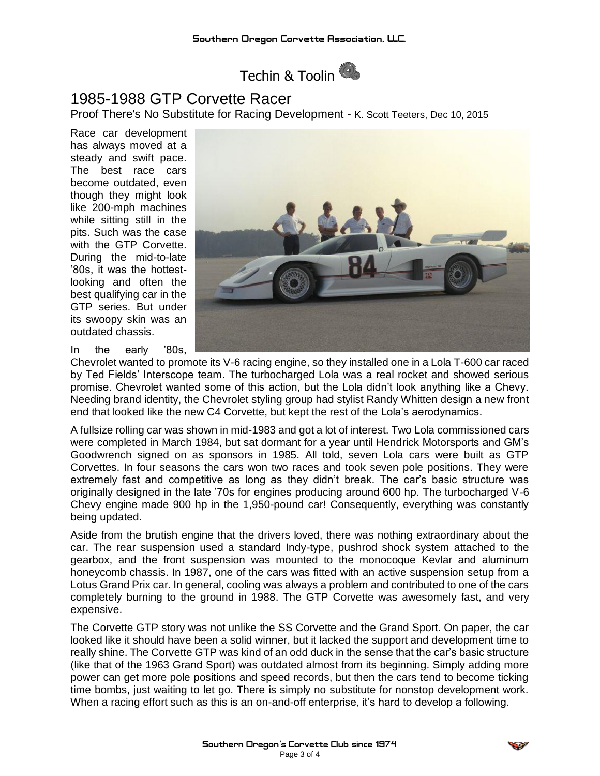

## 1985-1988 GTP Corvette Racer

Proof There's No Substitute for Racing Development - K. Scott Teeters, Dec 10, 2015

Race car development has always moved at a steady and swift pace. The best race cars become outdated, even though they might look like 200-mph machines while sitting still in the pits. Such was the case with the GTP Corvette. During the mid-to-late '80s, it was the hottestlooking and often the best qualifying car in the GTP series. But under its swoopy skin was an outdated chassis.

In the early '80s,

Chevrolet wanted to promote its V-6 racing engine, so they installed one in a Lola T-600 car raced by Ted Fields' Interscope team. The turbocharged Lola was a real rocket and showed serious promise. Chevrolet wanted some of this action, but the Lola didn't look anything like a Chevy. Needing brand identity, the Chevrolet styling group had stylist Randy Whitten design a new front end that looked like the new C4 Corvette, but kept the rest of the Lola's aerodynamics.

A fullsize rolling car was shown in mid-1983 and got a lot of interest. Two Lola commissioned cars were completed in March 1984, but sat dormant for a year until Hendrick Motorsports and GM's Goodwrench signed on as sponsors in 1985. All told, seven Lola cars were built as GTP Corvettes. In four seasons the cars won two races and took seven pole positions. They were extremely fast and competitive as long as they didn't break. The car's basic structure was originally designed in the late '70s for engines producing around 600 hp. The turbocharged V-6 Chevy engine made 900 hp in the 1,950-pound car! Consequently, everything was constantly being updated.

Aside from the brutish engine that the drivers loved, there was nothing extraordinary about the car. The rear suspension used a standard Indy-type, pushrod shock system attached to the gearbox, and the front suspension was mounted to the monocoque Kevlar and aluminum honeycomb chassis. In 1987, one of the cars was fitted with an active suspension setup from a Lotus Grand Prix car. In general, cooling was always a problem and contributed to one of the cars completely burning to the ground in 1988. The GTP Corvette was awesomely fast, and very expensive.

The Corvette GTP story was not unlike the SS Corvette and the Grand Sport. On paper, the car looked like it should have been a solid winner, but it lacked the support and development time to really shine. The Corvette GTP was kind of an odd duck in the sense that the car's basic structure (like that of the 1963 Grand Sport) was outdated almost from its beginning. Simply adding more power can get more pole positions and speed records, but then the cars tend to become ticking time bombs, just waiting to let go. There is simply no substitute for nonstop development work. When a racing effort such as this is an on-and-off enterprise, it's hard to develop a following.